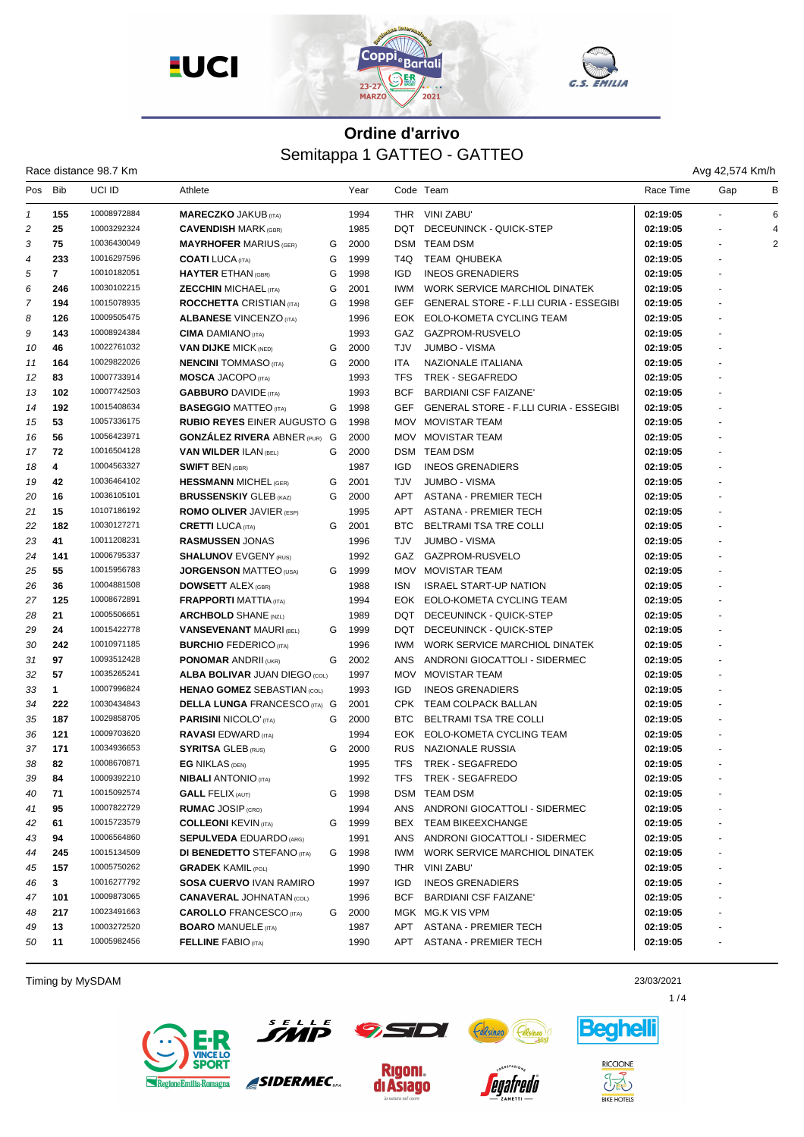

| Race distance 98.7 Km |  |  |
|-----------------------|--|--|
|-----------------------|--|--|

Avg 42,574 Km/h

| Pos | <b>Bib</b>   | UCI ID      | Athlete                              |   | Year |            | Code Team                                     | Race Time | Gap            | в |
|-----|--------------|-------------|--------------------------------------|---|------|------------|-----------------------------------------------|-----------|----------------|---|
| 1   | 155          | 10008972884 | <b>MARECZKO JAKUB (ITA)</b>          |   | 1994 |            | THR VINI ZABU'                                | 02:19:05  |                | 6 |
| 2   | 25           | 10003292324 | <b>CAVENDISH MARK (GBR)</b>          |   | 1985 | DQT        | DECEUNINCK - QUICK-STEP                       | 02:19:05  |                |   |
| 3   | 75           | 10036430049 | <b>MAYRHOFER MARIUS (GER)</b>        | G | 2000 | DSM        | <b>TEAM DSM</b>                               | 02:19:05  |                | 2 |
| 4   | 233          | 10016297596 | <b>COATI</b> LUCA (ITA)              | G | 1999 | T4Q        | <b>TEAM QHUBEKA</b>                           | 02:19:05  |                |   |
| 5   | $\mathbf{7}$ | 10010182051 | <b>HAYTER ETHAN (GBR)</b>            | G | 1998 | <b>IGD</b> | <b>INEOS GRENADIERS</b>                       | 02:19:05  |                |   |
| 6   | 246          | 10030102215 | <b>ZECCHIN MICHAEL (ITA)</b>         | G | 2001 | <b>IWM</b> | WORK SERVICE MARCHIOL DINATEK                 | 02:19:05  |                |   |
| 7   | 194          | 10015078935 | <b>ROCCHETTA CRISTIAN (ITA)</b>      | G | 1998 | <b>GEF</b> | <b>GENERAL STORE - F.LLI CURIA - ESSEGIBI</b> | 02:19:05  |                |   |
| 8   | 126          | 10009505475 | <b>ALBANESE VINCENZO (ITA)</b>       |   | 1996 | EOK        | EOLO-KOMETA CYCLING TEAM                      | 02:19:05  |                |   |
| 9   | 143          | 10008924384 | <b>CIMA DAMIANO</b> (ITA)            |   | 1993 |            | GAZ GAZPROM-RUSVELO                           | 02:19:05  |                |   |
| 10  | 46           | 10022761032 | <b>VAN DIJKE MICK (NED)</b>          | G | 2000 | <b>TJV</b> | <b>JUMBO - VISMA</b>                          | 02:19:05  |                |   |
| 11  | 164          | 10029822026 | <b>NENCINI</b> TOMMASO (ITA)         | G | 2000 | ITA        | NAZIONALE ITALIANA                            | 02:19:05  |                |   |
| 12  | 83           | 10007733914 | <b>MOSCA JACOPO (ITA)</b>            |   | 1993 | <b>TFS</b> | <b>TREK - SEGAFREDO</b>                       | 02:19:05  |                |   |
| 13  | 102          | 10007742503 | <b>GABBURO DAVIDE</b> (ITA)          |   | 1993 | <b>BCF</b> | <b>BARDIANI CSF FAIZANE'</b>                  | 02:19:05  |                |   |
| 14  | 192          | 10015408634 | <b>BASEGGIO MATTEO</b> (ITA)         | G | 1998 | <b>GEF</b> | <b>GENERAL STORE - F.LLI CURIA - ESSEGIBI</b> | 02:19:05  |                |   |
| 15  | 53           | 10057336175 | <b>RUBIO REYES EINER AUGUSTO G</b>   |   | 1998 |            | MOV MOVISTAR TEAM                             | 02:19:05  |                |   |
| 16  | 56           | 10056423971 | <b>GONZALEZ RIVERA ABNER (PUR) G</b> |   | 2000 |            | MOV MOVISTAR TEAM                             | 02:19:05  |                |   |
| 17  | 72           | 10016504128 | <b>VAN WILDER ILAN (BEL)</b>         | G | 2000 |            | DSM TEAM DSM                                  | 02:19:05  |                |   |
| 18  | 4            | 10004563327 | <b>SWIFT BEN (GBR)</b>               |   | 1987 | <b>IGD</b> | <b>INEOS GRENADIERS</b>                       | 02:19:05  |                |   |
| 19  | 42           | 10036464102 | <b>HESSMANN MICHEL (GER)</b>         | G | 2001 | <b>TJV</b> | <b>JUMBO - VISMA</b>                          | 02:19:05  |                |   |
| 20  | 16           | 10036105101 | <b>BRUSSENSKIY GLEB (KAZ)</b>        | G | 2000 | <b>APT</b> | <b>ASTANA - PREMIER TECH</b>                  | 02:19:05  |                |   |
| 21  | 15           | 10107186192 | <b>ROMO OLIVER JAVIER (ESP)</b>      |   | 1995 | <b>APT</b> | <b>ASTANA - PREMIER TECH</b>                  | 02:19:05  |                |   |
| 22  | 182          | 10030127271 | <b>CRETTI LUCA</b> (ITA)             | G | 2001 | <b>BTC</b> | BELTRAMI TSA TRE COLLI                        | 02:19:05  |                |   |
| 23  | 41           | 10011208231 | <b>RASMUSSEN JONAS</b>               |   | 1996 | <b>TJV</b> | <b>JUMBO - VISMA</b>                          | 02:19:05  |                |   |
| 24  | 141          | 10006795337 | <b>SHALUNOV EVGENY (RUS)</b>         |   | 1992 |            | GAZ GAZPROM-RUSVELO                           | 02:19:05  |                |   |
| 25  | 55           | 10015956783 | <b>JORGENSON MATTEO (USA)</b>        | G | 1999 |            | MOV MOVISTAR TEAM                             | 02:19:05  | $\overline{a}$ |   |
| 26  | 36           | 10004881508 | <b>DOWSETT ALEX (GBR)</b>            |   | 1988 | <b>ISN</b> | <b>ISRAEL START-UP NATION</b>                 | 02:19:05  |                |   |
| 27  | 125          | 10008672891 | <b>FRAPPORTI MATTIA (ITA)</b>        |   | 1994 | EOK        | EOLO-KOMETA CYCLING TEAM                      | 02:19:05  |                |   |
| 28  | 21           | 10005506651 | <b>ARCHBOLD SHANE (NZL)</b>          |   | 1989 | <b>DQT</b> | DECEUNINCK - QUICK-STEP                       | 02:19:05  |                |   |
| 29  | 24           | 10015422778 | <b>VANSEVENANT MAURI (BEL)</b>       | G | 1999 | DQT.       | DECEUNINCK - QUICK-STEP                       | 02:19:05  |                |   |
| 30  | 242          | 10010971185 | <b>BURCHIO FEDERICO (ITA)</b>        |   | 1996 | IWM.       | WORK SERVICE MARCHIOL DINATEK                 | 02:19:05  |                |   |
| 31  | 97           | 10093512428 | <b>PONOMAR ANDRII (UKR)</b>          | G | 2002 | ANS        | ANDRONI GIOCATTOLI - SIDERMEC                 | 02:19:05  |                |   |
| 32  | 57           | 10035265241 | <b>ALBA BOLIVAR JUAN DIEGO (COL)</b> |   | 1997 | <b>MOV</b> | <b>MOVISTAR TEAM</b>                          | 02:19:05  |                |   |
| 33  | $\mathbf{1}$ | 10007996824 | <b>HENAO GOMEZ SEBASTIAN (COL)</b>   |   | 1993 | <b>IGD</b> | <b>INEOS GRENADIERS</b>                       | 02:19:05  |                |   |
| 34  | 222          | 10030434843 | <b>DELLA LUNGA FRANCESCO (ITA) G</b> |   | 2001 |            | CPK TEAM COLPACK BALLAN                       | 02:19:05  |                |   |
| 35  | 187          | 10029858705 | <b>PARISINI NICOLO' (ITA)</b>        | G | 2000 | BTC.       | <b>BELTRAMI TSA TRE COLLI</b>                 | 02:19:05  |                |   |
| 36  | 121          | 10009703620 | <b>RAVASI EDWARD</b> (ITA)           |   | 1994 |            | EOK EOLO-KOMETA CYCLING TEAM                  | 02:19:05  |                |   |
| 37  | 171          | 10034936653 | <b>SYRITSA GLEB (RUS)</b>            | G | 2000 | <b>RUS</b> | NAZIONALE RUSSIA                              | 02:19:05  |                |   |
| 38  | 82           | 10008670871 | <b>EG NIKLAS (DEN)</b>               |   | 1995 | <b>TFS</b> | <b>TREK - SEGAFREDO</b>                       | 02:19:05  |                |   |
| 39  | 84           | 10009392210 | <b>NIBALI</b> ANTONIO (ITA)          |   | 1992 | <b>TFS</b> | <b>TREK - SEGAFREDO</b>                       | 02:19:05  | $\sim$         |   |
| 40  | 71           | 10015092574 | <b>GALL FELIX (AUT)</b>              | G | 1998 |            | DSM TEAM DSM                                  | 02:19:05  |                |   |
| 41  | 95           | 10007822729 | <b>RUMAC JOSIP (CRO)</b>             |   | 1994 | ANS        | ANDRONI GIOCATTOLI - SIDERMEC                 | 02:19:05  |                |   |
| 42  | 61           | 10015723579 | <b>COLLEONI KEVIN (ITA)</b>          | G | 1999 |            | BEX TEAM BIKEEXCHANGE                         | 02:19:05  |                |   |
| 43  | 94           | 10006564860 | <b>SEPULVEDA EDUARDO (ARG)</b>       |   | 1991 |            | ANS ANDRONI GIOCATTOLI - SIDERMEC             | 02:19:05  |                |   |
| 44  | 245          | 10015134509 | <b>DI BENEDETTO</b> STEFANO (ITA)    | G | 1998 | IWM        | WORK SERVICE MARCHIOL DINATEK                 | 02:19:05  |                |   |
| 45  | 157          | 10005750262 | <b>GRADEK KAMIL (POL)</b>            |   | 1990 | THR        | VINI ZABU'                                    | 02:19:05  |                |   |
| 46  | 3            | 10016277792 | <b>SOSA CUERVO IVAN RAMIRO</b>       |   | 1997 | IGD        | <b>INEOS GRENADIERS</b>                       | 02:19:05  |                |   |
| 47  | 101          | 10009873065 | <b>CANAVERAL JOHNATAN (COL)</b>      |   | 1996 | BCF        | <b>BARDIANI CSF FAIZANE'</b>                  | 02:19:05  |                |   |
| 48  | 217          | 10023491663 | <b>CAROLLO</b> FRANCESCO (ITA)       | G | 2000 |            | MGK MG.K VIS VPM                              | 02:19:05  |                |   |
| 49  | 13           | 10003272520 | <b>BOARO MANUELE (ITA)</b>           |   | 1987 | APT        | ASTANA - PREMIER TECH                         | 02:19:05  |                |   |
| 50  | 11           | 10005982456 | <b>FELLINE FABIO (ITA)</b>           |   | 1990 | APT        | ASTANA - PREMIER TECH                         | 02:19:05  |                |   |
|     |              |             |                                      |   |      |            |                                               |           |                |   |

Timing by MySDAM 23/03/2021





**Rigoni.** 

di Asiago



*egafredo* 



 $1/4$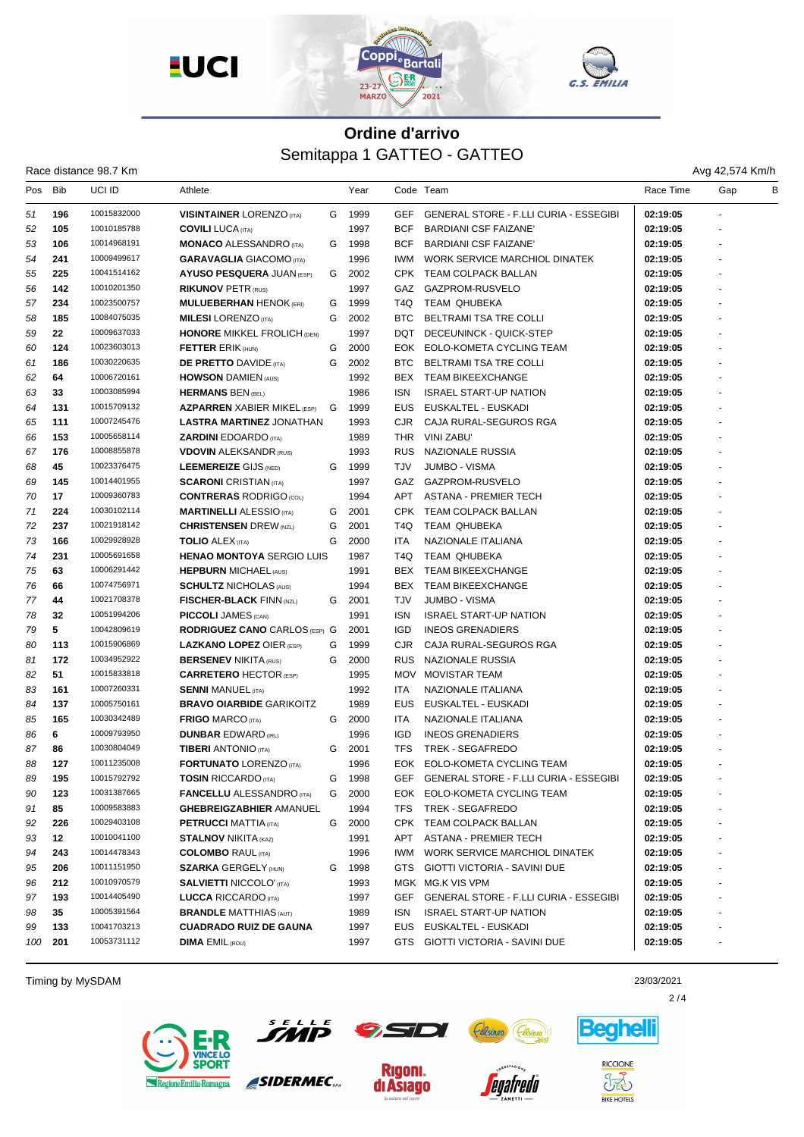





Race distance 98.7 Km

| Pos | Bib     | UCI ID                     | Athlete                              |   | Year |            | Code Team                              | Race Time | Gap            | B |
|-----|---------|----------------------------|--------------------------------------|---|------|------------|----------------------------------------|-----------|----------------|---|
| 51  | 196     | 10015832000                | <b>VISINTAINER LORENZO</b> (ITA)     | G | 1999 | <b>GEF</b> | GENERAL STORE - F.LLI CURIA - ESSEGIBI | 02:19:05  |                |   |
| 52  | 105     | 10010185788                | <b>COVILI LUCA</b> (ITA)             |   | 1997 | <b>BCF</b> | <b>BARDIANI CSF FAIZANE</b>            | 02:19:05  |                |   |
| 53  | 106     | 10014968191                | <b>MONACO ALESSANDRO (ITA)</b>       | G | 1998 | <b>BCF</b> | <b>BARDIANI CSF FAIZANE</b>            | 02:19:05  |                |   |
| 54  | 241     | 10009499617                | <b>GARAVAGLIA</b> GIACOMO (ITA)      |   | 1996 | IWM.       | WORK SERVICE MARCHIOL DINATEK          | 02:19:05  |                |   |
| 55  | 225     | 10041514162                | <b>AYUSO PESQUERA JUAN (ESP)</b>     | G | 2002 |            | CPK TEAM COLPACK BALLAN                | 02:19:05  |                |   |
| 56  | 142     | 10010201350                | <b>RIKUNOV PETR (RUS)</b>            |   | 1997 |            | GAZ GAZPROM-RUSVELO                    | 02:19:05  |                |   |
| 57  | 234     | 10023500757                | <b>MULUEBERHAN HENOK (ERI)</b>       | G | 1999 | T4Q        | TEAM QHUBEKA                           | 02:19:05  |                |   |
| 58  | 185     | 10084075035                | <b>MILESI</b> LORENZO (ITA)          | G | 2002 | BTC        | <b>BELTRAMI TSA TRE COLLI</b>          | 02:19:05  |                |   |
| 59  | $22 \,$ | 10009637033                | <b>HONORE MIKKEL FROLICH (DEN)</b>   |   | 1997 | <b>DQT</b> | DECEUNINCK - QUICK-STEP                | 02:19:05  |                |   |
| 60  | 124     | 10023603013                | <b>FETTER ERIK (HUN)</b>             | G | 2000 | EOK        | EOLO-KOMETA CYCLING TEAM               | 02:19:05  |                |   |
| 61  | 186     | 10030220635                | <b>DE PRETTO DAVIDE (ITA)</b>        | G | 2002 | BTC        | BELTRAMI TSA TRE COLLI                 | 02:19:05  |                |   |
| 62  | 64      | 10006720161                | <b>HOWSON DAMIEN (AUS)</b>           |   | 1992 | BEX        | <b>TEAM BIKEEXCHANGE</b>               | 02:19:05  |                |   |
| 63  | 33      | 10003085994                | <b>HERMANS BEN (BEL)</b>             |   | 1986 | <b>ISN</b> | <b>ISRAEL START-UP NATION</b>          | 02:19:05  |                |   |
| 64  | 131     | 10015709132                | <b>AZPARREN</b> XABIER MIKEL (ESP) G |   | 1999 | EUS.       | EUSKALTEL - EUSKADI                    | 02:19:05  |                |   |
| 65  | 111     | 10007245476                | <b>LASTRA MARTINEZ JONATHAN</b>      |   | 1993 | CJR.       | CAJA RURAL-SEGUROS RGA                 | 02:19:05  |                |   |
| 66  | 153     | 10005658114                | <b>ZARDINI</b> EDOARDO (ITA)         |   | 1989 |            | THR VINI ZABU'                         | 02:19:05  | ÷.             |   |
| 67  | 176     | 10008855878                | <b>VDOVIN ALEKSANDR (RUS)</b>        |   | 1993 | <b>RUS</b> | NAZIONALE RUSSIA                       | 02:19:05  |                |   |
| 68  | 45      | 10023376475                | <b>LEEMEREIZE GIJS (NED)</b>         | G | 1999 | <b>TJV</b> | <b>JUMBO - VISMA</b>                   | 02:19:05  |                |   |
| 69  | 145     | 10014401955                | <b>SCARONI</b> CRISTIAN (ITA)        |   | 1997 |            | GAZ GAZPROM-RUSVELO                    | 02:19:05  |                |   |
| 70  | 17      | 10009360783                | <b>CONTRERAS RODRIGO (COL)</b>       |   | 1994 | APT        | ASTANA - PREMIER TECH                  | 02:19:05  |                |   |
| 71  | 224     | 10030102114                | <b>MARTINELLI ALESSIO</b> (ITA)      | G | 2001 |            | CPK TEAM COLPACK BALLAN                | 02:19:05  |                |   |
| 72  | 237     | 10021918142                | <b>CHRISTENSEN</b> DREW (NZL)        | G | 2001 | T4Q        | <b>TEAM QHUBEKA</b>                    | 02:19:05  |                |   |
| 73  | 166     | 10029928928                | <b>TOLIO ALEX (ITA)</b>              | G | 2000 | <b>ITA</b> | NAZIONALE ITALIANA                     | 02:19:05  |                |   |
| 74  | 231     | 10005691658                | <b>HENAO MONTOYA SERGIO LUIS</b>     |   | 1987 | T4Q        | TEAM QHUBEKA                           | 02:19:05  |                |   |
| 75  | 63      | 10006291442                | <b>HEPBURN MICHAEL (AUS)</b>         |   | 1991 |            | BEX TEAM BIKEEXCHANGE                  | 02:19:05  |                |   |
| 76  | 66      | 10074756971                | <b>SCHULTZ NICHOLAS (AUS)</b>        |   | 1994 | BEX        | <b>TEAM BIKEEXCHANGE</b>               | 02:19:05  |                |   |
| 77  | 44      | 10021708378                | <b>FISCHER-BLACK FINN (NZL)</b>      | G | 2001 | <b>TJV</b> | <b>JUMBO - VISMA</b>                   | 02:19:05  |                |   |
| 78  | 32      | 10051994206                | <b>PICCOLI JAMES</b> (CAN)           |   | 1991 | <b>ISN</b> | <b>ISRAEL START-UP NATION</b>          | 02:19:05  |                |   |
| 79  | 5       | 10042809619                | <b>RODRIGUEZ CANO CARLOS (ESP) G</b> |   | 2001 | <b>IGD</b> | <b>INEOS GRENADIERS</b>                | 02:19:05  |                |   |
| 80  | 113     | 10015906869                | <b>LAZKANO LOPEZ OIER (ESP)</b>      | G | 1999 | <b>CJR</b> | CAJA RURAL-SEGUROS RGA                 | 02:19:05  |                |   |
| 81  | 172     | 10034952922                | <b>BERSENEV NIKITA (RUS)</b>         | G | 2000 | <b>RUS</b> | NAZIONALE RUSSIA                       | 02:19:05  |                |   |
| 82  | 51      | 10015833818                | <b>CARRETERO HECTOR (ESP)</b>        |   | 1995 |            | MOV MOVISTAR TEAM                      | 02:19:05  |                |   |
| 83  | 161     | 10007260331                | <b>SENNI MANUEL (ITA)</b>            |   | 1992 | ITA        | NAZIONALE ITALIANA                     | 02:19:05  |                |   |
| 84  | 137     | 10005750161                | <b>BRAVO OIARBIDE GARIKOITZ</b>      |   | 1989 | <b>EUS</b> | EUSKALTEL - EUSKADI                    | 02:19:05  |                |   |
| 85  | 165     | 10030342489                | <b>FRIGO MARCO (ITA)</b>             | G | 2000 | ITA        | NAZIONALE ITALIANA                     | 02:19:05  |                |   |
| 86  | 6       | 10009793950                | <b>DUNBAR EDWARD (IRL)</b>           |   | 1996 | <b>IGD</b> | <b>INEOS GRENADIERS</b>                | 02:19:05  |                |   |
| 87  | 86      | 10030804049                | <b>TIBERI</b> ANTONIO (ITA)          | G | 2001 | <b>TFS</b> | TREK - SEGAFREDO                       | 02:19:05  |                |   |
| 88  | 127     | 10011235008                | <b>FORTUNATO LORENZO (ITA)</b>       |   | 1996 | EOK        | EOLO-KOMETA CYCLING TEAM               | 02:19:05  |                |   |
| 89  | 195     | 10015792792                | <b>TOSIN RICCARDO</b> (ITA)          | G | 1998 | <b>GEF</b> | GENERAL STORE - F.LLI CURIA - ESSEGIBI | 02:19:05  | $\overline{a}$ |   |
| 90  | 123     | 10031387665                | <b>FANCELLU ALESSANDRO</b> (ITA)     | G | 2000 |            | EOK EOLO-KOMETA CYCLING TEAM           | 02:19:05  |                |   |
| 91  | 85      | 10009583883                | <b>GHEBREIGZABHIER AMANUEL</b>       |   | 1994 | <b>TFS</b> | <b>TREK - SEGAFREDO</b>                | 02:19:05  |                |   |
| 92  | 226     | 10029403108                | <b>PETRUCCI MATTIA (ITA)</b>         | G | 2000 |            | CPK TEAM COLPACK BALLAN                | 02:19:05  |                |   |
| 93  | 12      | 10010041100                | <b>STALNOV NIKITA (KAZ)</b>          |   | 1991 | APT        | <b>ASTANA - PREMIER TECH</b>           | 02:19:05  |                |   |
| 94  | 243     | 10014478343                | <b>COLOMBO RAUL (ITA)</b>            |   | 1996 | IWM        | WORK SERVICE MARCHIOL DINATEK          |           |                |   |
|     |         | 10011151950                |                                      |   |      |            |                                        | 02:19:05  |                |   |
| 95  | 206     | 10010970579                | <b>SZARKA GERGELY (HUN)</b>          | G | 1998 |            | GTS GIOTTI VICTORIA - SAVINI DUE       | 02:19:05  |                |   |
| 96  | 212     |                            | <b>SALVIETTI NICCOLO' (ITA)</b>      |   | 1993 |            | MGK MG.K VIS VPM                       | 02:19:05  |                |   |
| 97  | 193     | 10014405490<br>10005391564 | LUCCA RICCARDO (ITA)                 |   | 1997 | GEF        | GENERAL STORE - F.LLI CURIA - ESSEGIBI | 02:19:05  |                |   |
| 98  | 35      |                            | <b>BRANDLE MATTHIAS (AUT)</b>        |   | 1989 | <b>ISN</b> | <b>ISRAEL START-UP NATION</b>          | 02:19:05  |                |   |
| 99  | 133     | 10041703213                | <b>CUADRADO RUIZ DE GAUNA</b>        |   | 1997 |            | EUS EUSKALTEL - EUSKADI                | 02:19:05  |                |   |
| 100 | 201     | 10053731112                | <b>DIMA EMIL (ROU)</b>               |   | 1997 |            | GTS GIOTTI VICTORIA - SAVINI DUE       | 02:19:05  |                |   |

Timing by MySDAM 23/03/2021





SIDERMEC.

**Rigoni.** 

di Asiago



*enatredo* 



 $2/4$ 

**RICCIONE** JÃ

**Beahell** 

**BIKE HOTELS**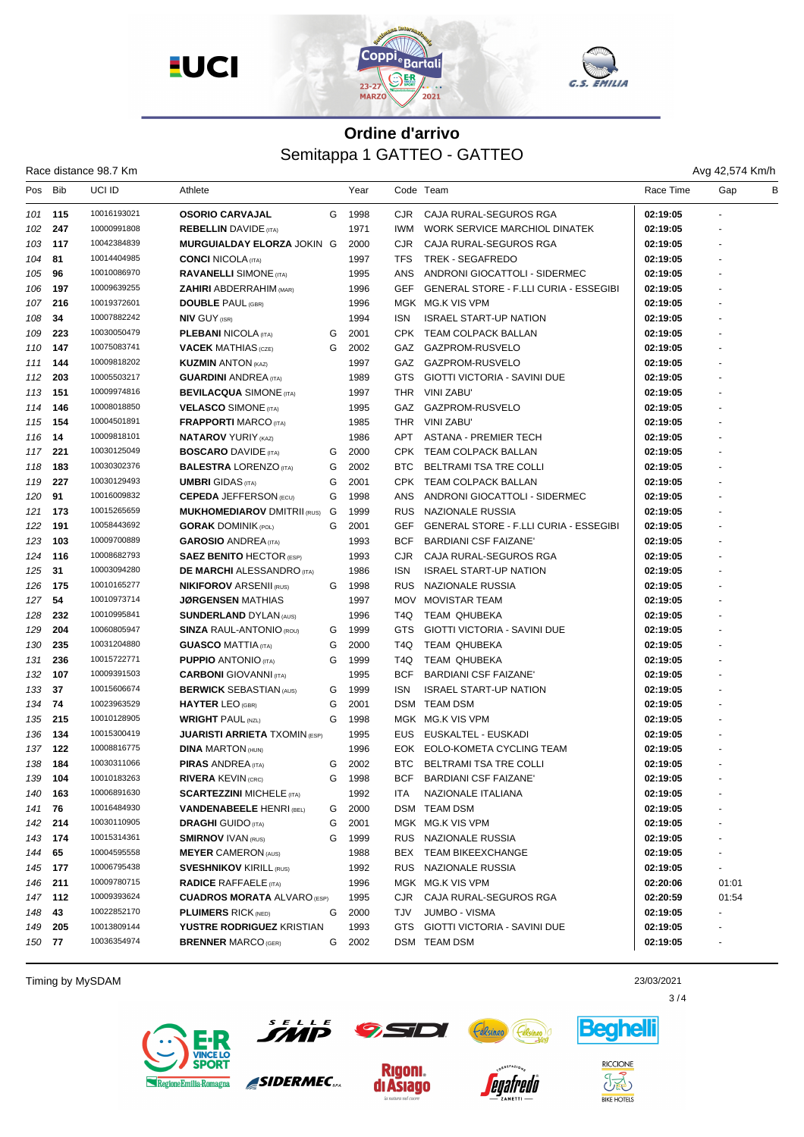

|  | Race distance 98.7 Km |  |  |
|--|-----------------------|--|--|
|--|-----------------------|--|--|

Avg 42,574 Km/h

| Pos     | Bib     | <b>UCI ID</b> | Athlete                              |   | Year |            | Code Team                                     | Race Time | в<br>Gap |
|---------|---------|---------------|--------------------------------------|---|------|------------|-----------------------------------------------|-----------|----------|
| 101     | 115     | 10016193021   | <b>OSORIO CARVAJAL</b>               | G | 1998 | CJR.       | CAJA RURAL-SEGUROS RGA                        | 02:19:05  |          |
| 102     | 247     | 10000991808   | <b>REBELLIN</b> DAVIDE (ITA)         |   | 1971 | <b>IWM</b> | WORK SERVICE MARCHIOL DINATEK                 | 02:19:05  |          |
| 103     | 117     | 10042384839   | MURGUIALDAY ELORZA JOKIN G           |   | 2000 | <b>CJR</b> | CAJA RURAL-SEGUROS RGA                        | 02:19:05  |          |
| 104     | 81      | 10014404985   | <b>CONCI</b> NICOLA (ITA)            |   | 1997 | <b>TFS</b> | TREK - SEGAFREDO                              | 02:19:05  |          |
| 105     | 96      | 10010086970   | <b>RAVANELLI SIMONE</b> (ITA)        |   | 1995 | ANS        | ANDRONI GIOCATTOLI - SIDERMEC                 | 02:19:05  |          |
| 106     | 197     | 10009639255   | <b>ZAHIRI</b> ABDERRAHIM (MAR)       |   | 1996 | <b>GEF</b> | <b>GENERAL STORE - F.LLI CURIA - ESSEGIBI</b> | 02:19:05  |          |
| 107     | 216     | 10019372601   | <b>DOUBLE PAUL (GBR)</b>             |   | 1996 |            | MGK MG.K VIS VPM                              | 02:19:05  |          |
| 108     | 34      | 10007882242   | <b>NIV GUY (ISR)</b>                 |   | 1994 | <b>ISN</b> | <b>ISRAEL START-UP NATION</b>                 | 02:19:05  |          |
| 109     | 223     | 10030050479   | <b>PLEBANI NICOLA</b> (ITA)          | G | 2001 |            | CPK TEAM COLPACK BALLAN                       | 02:19:05  |          |
| 110     | 147     | 10075083741   | <b>VACEK MATHIAS</b> (CZE)           | G | 2002 | GAZ        | GAZPROM-RUSVELO                               | 02:19:05  |          |
| 111     | 144     | 10009818202   | <b>KUZMIN ANTON (KAZ)</b>            |   | 1997 |            | GAZ GAZPROM-RUSVELO                           | 02:19:05  |          |
| 112     | 203     | 10005503217   | <b>GUARDINI ANDREA</b> (ITA)         |   | 1989 | <b>GTS</b> | <b>GIOTTI VICTORIA - SAVINI DUE</b>           | 02:19:05  |          |
| 113     | 151     | 10009974816   | <b>BEVILACQUA</b> SIMONE (ITA)       |   | 1997 | THR        | VINI ZABU'                                    | 02:19:05  |          |
| 114     | 146     | 10008018850   | <b>VELASCO SIMONE (ITA)</b>          |   | 1995 |            | GAZ GAZPROM-RUSVELO                           | 02:19:05  |          |
| 115     | 154     | 10004501891   | <b>FRAPPORTI MARCO (ITA)</b>         |   | 1985 | THR        | VINI ZABU'                                    | 02:19:05  |          |
| 116     | 14      | 10009818101   | <b>NATAROV YURIY (KAZ)</b>           |   | 1986 | APT        | <b>ASTANA - PREMIER TECH</b>                  | 02:19:05  |          |
| 117     | 221     | 10030125049   | <b>BOSCARO</b> DAVIDE (ITA)          | G | 2000 | CPK        | <b>TEAM COLPACK BALLAN</b>                    | 02:19:05  |          |
| 118     | 183     | 10030302376   | <b>BALESTRA LORENZO</b> (ITA)        | G | 2002 | <b>BTC</b> | BELTRAMI TSA TRE COLLI                        | 02:19:05  |          |
| 119     | 227     | 10030129493   | <b>UMBRI</b> GIDAS (ITA)             | G | 2001 |            | CPK TEAM COLPACK BALLAN                       | 02:19:05  |          |
| 120     | 91      | 10016009832   | <b>CEPEDA JEFFERSON (ECU)</b>        | G | 1998 | ANS        | ANDRONI GIOCATTOLI - SIDERMEC                 | 02:19:05  |          |
| 121     | 173     | 10015265659   | <b>MUKHOMEDIAROV DMITRII (RUS)</b>   | G | 1999 | <b>RUS</b> | NAZIONALE RUSSIA                              | 02:19:05  |          |
| 122     | 191     | 10058443692   | <b>GORAK DOMINIK (POL)</b>           | G | 2001 | <b>GEF</b> | <b>GENERAL STORE - F.LLI CURIA - ESSEGIBI</b> | 02:19:05  |          |
| 123     | 103     | 10009700889   | <b>GAROSIO ANDREA</b> (ITA)          |   | 1993 | <b>BCF</b> | <b>BARDIANI CSF FAIZANE'</b>                  | 02:19:05  |          |
| 124     | 116     | 10008682793   | <b>SAEZ BENITO HECTOR (ESP)</b>      |   | 1993 | CJR.       | CAJA RURAL-SEGUROS RGA                        | 02:19:05  |          |
| 125     | 31      | 10003094280   | <b>DE MARCHI</b> ALESSANDRO (ITA)    |   | 1986 | <b>ISN</b> | <b>ISRAEL START-UP NATION</b>                 | 02:19:05  |          |
| 126     | 175     | 10010165277   | <b>NIKIFOROV ARSENII (RUS)</b>       | G | 1998 | <b>RUS</b> | NAZIONALE RUSSIA                              | 02:19:05  |          |
| 127     | 54      | 10010973714   | <b>JØRGENSEN</b> MATHIAS             |   | 1997 | MOV        | MOVISTAR TEAM                                 | 02:19:05  |          |
| 128     | 232     | 10010995841   | <b>SUNDERLAND DYLAN (AUS)</b>        |   | 1996 | T4Q        | TEAM QHUBEKA                                  | 02:19:05  |          |
| 129     | 204     | 10060805947   | <b>SINZA RAUL-ANTONIO (ROU)</b>      | G | 1999 | <b>GTS</b> | <b>GIOTTI VICTORIA - SAVINI DUE</b>           | 02:19:05  |          |
| 130     | 235     | 10031204880   | <b>GUASCO MATTIA</b> (ITA)           | G | 2000 | T4Q        | TEAM QHUBEKA                                  | 02:19:05  |          |
| 131     | 236     | 10015722771   | <b>PUPPIO ANTONIO</b> (ITA)          | G | 1999 | T4Q        | TEAM QHUBEKA                                  | 02:19:05  |          |
| 132     | 107     | 10009391503   | <b>CARBONI</b> GIOVANNI (ITA)        |   | 1995 | <b>BCF</b> | <b>BARDIANI CSF FAIZANE'</b>                  | 02:19:05  |          |
| 133     | 37      | 10015606674   | <b>BERWICK SEBASTIAN (AUS)</b>       | G | 1999 | <b>ISN</b> | <b>ISRAEL START-UP NATION</b>                 | 02:19:05  |          |
| 134     | 74      | 10023963529   | <b>HAYTER LEO (GBR)</b>              | G | 2001 | DSM        | TEAM DSM                                      | 02:19:05  |          |
| 135     | 215     | 10010128905   | <b>WRIGHT PAUL (NZL)</b>             | G | 1998 |            | MGK MG.K VIS VPM                              | 02:19:05  |          |
| 136     | 134     | 10015300419   | <b>JUARISTI ARRIETA</b> TXOMIN (ESP) |   | 1995 | <b>EUS</b> | EUSKALTEL - EUSKADI                           | 02:19:05  |          |
| 137     | 122     | 10008816775   | <b>DINA MARTON (HUN)</b>             |   | 1996 |            | EOK EOLO-KOMETA CYCLING TEAM                  | 02:19:05  |          |
| 138     | 184     | 10030311066   | <b>PIRAS ANDREA</b> (ITA)            | G | 2002 | <b>BTC</b> | BELTRAMI TSA TRE COLLI                        | 02:19:05  |          |
| 139     | 104     | 10010183263   | <b>RIVERA KEVIN (CRC)</b>            | G | 1998 | <b>BCF</b> | <b>BARDIANI CSF FAIZANE'</b>                  | 02:19:05  |          |
| 140     | 163     | 10006891630   | <b>SCARTEZZINI MICHELE (ITA)</b>     |   | 1992 | ITA        | NAZIONALE ITALIANA                            | 02:19:05  |          |
| 141     | 76      | 10016484930   | <b>VANDENABEELE HENRI (BEL)</b>      | G | 2000 | DSM        | <b>TEAM DSM</b>                               | 02:19:05  |          |
| 142     | 214     | 10030110905   | <b>DRAGHI</b> GUIDO (ITA)            | G | 2001 |            | MGK MG.K VIS VPM                              | 02:19:05  |          |
| 143 174 |         | 10015314361   | <b>SMIRNOV IVAN (RUS)</b>            | G | 1999 |            | RUS NAZIONALE RUSSIA                          | 02:19:05  |          |
| 144     | 65      | 10004595558   | <b>MEYER CAMERON (AUS)</b>           |   | 1988 |            | BEX TEAM BIKEEXCHANGE                         | 02:19:05  |          |
|         | 145 177 | 10006795438   | <b>SVESHNIKOV KIRILL (RUS)</b>       |   | 1992 |            | RUS NAZIONALE RUSSIA                          | 02:19:05  |          |
| 146     | 211     | 10009780715   | <b>RADICE RAFFAELE</b> (ITA)         |   | 1996 |            | MGK MG.K VIS VPM                              | 02:20:06  | 01:01    |
| 147     | 112     | 10009393624   | <b>CUADROS MORATA ALVARO (ESP)</b>   |   | 1995 | CJR.       | CAJA RURAL-SEGUROS RGA                        | 02:20:59  | 01:54    |
| 148     | 43      | 10022852170   | <b>PLUIMERS RICK (NED)</b>           | G | 2000 | TJV        | <b>JUMBO - VISMA</b>                          | 02:19:05  |          |
| 149     | 205     | 10013809144   | YUSTRE RODRIGUEZ KRISTIAN            |   | 1993 | GTS        | GIOTTI VICTORIA - SAVINI DUE                  | 02:19:05  |          |
| 150 77  |         | 10036354974   | <b>BRENNER MARCO (GER)</b>           | G | 2002 |            | DSM TEAM DSM                                  | 02:19:05  |          |
|         |         |               |                                      |   |      |            |                                               |           |          |

Timing by MySDAM 23/03/2021





SIDERMEC.

**Rigoni.** 

di Asiago



*egafredo* 



**BIKE HOTELS** 



 $3/4$